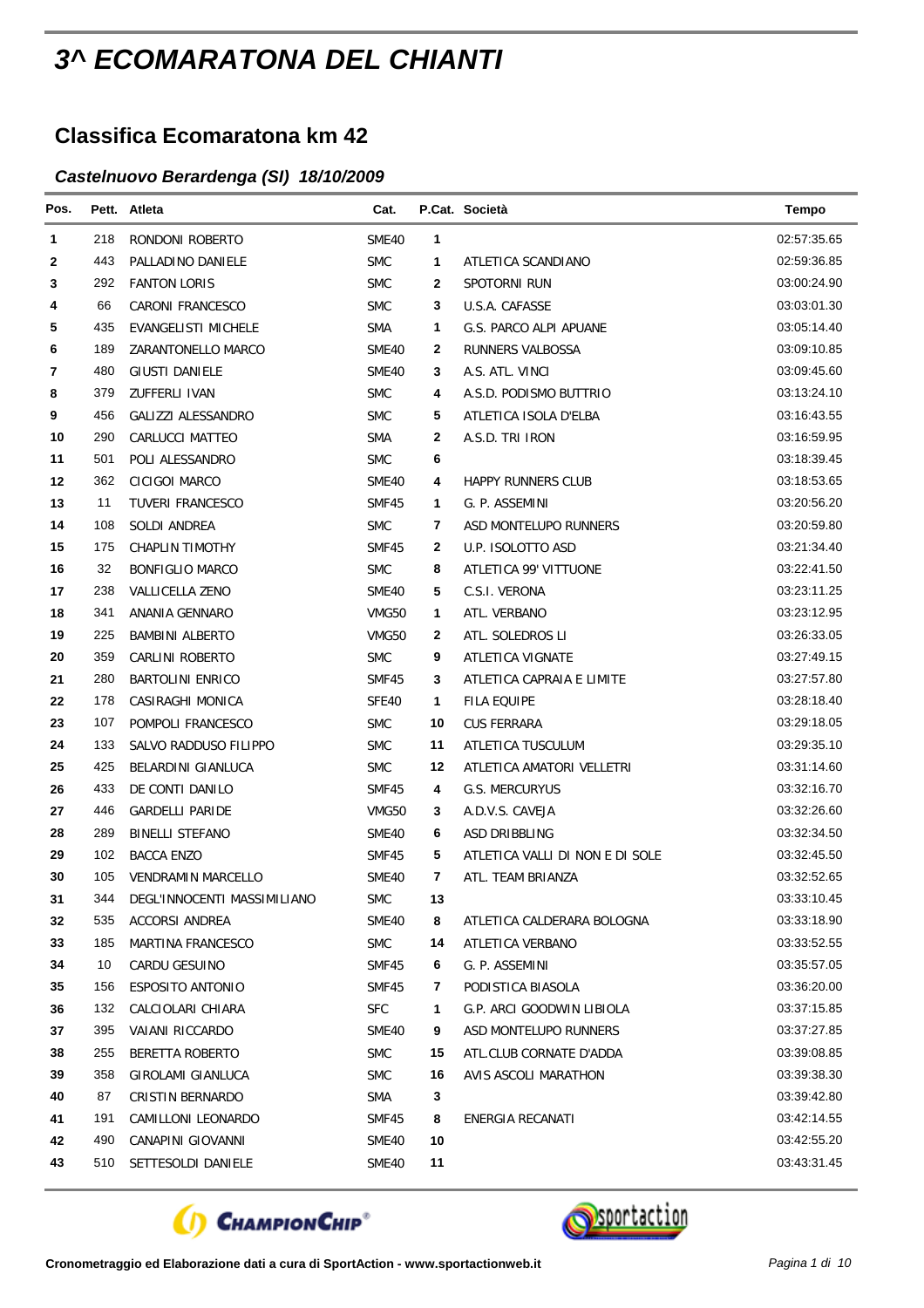## *3^ ECOMARATONA DEL CHIANTI*

## **Classifica Ecomaratona km 42**

## *Castelnuovo Berardenga (SI) 18/10/2009*

| Pos. |     | Pett. Atleta                | Cat.       |    | P.Cat. Società                  | <b>Tempo</b> |
|------|-----|-----------------------------|------------|----|---------------------------------|--------------|
| 1    | 218 | RONDONI ROBERTO             | SME40      | 1  |                                 | 02:57:35.65  |
| 2    | 443 | PALLADINO DANIELE           | <b>SMC</b> | 1  | ATLETICA SCANDIANO              | 02:59:36.85  |
| 3    | 292 | <b>FANTON LORIS</b>         | <b>SMC</b> | 2  | SPOTORNI RUN                    | 03:00:24.90  |
| 4    | 66  | <b>CARONI FRANCESCO</b>     | <b>SMC</b> | 3  | U.S.A. CAFASSE                  | 03:03:01.30  |
| 5    | 435 | <b>EVANGELISTI MICHELE</b>  | <b>SMA</b> | 1  | G.S. PARCO ALPI APUANE          | 03:05:14.40  |
| 6    | 189 | ZARANTONELLO MARCO          | SME40      | 2  | RUNNERS VALBOSSA                | 03:09:10.85  |
| 7    | 480 | <b>GIUSTI DANIELE</b>       | SME40      | 3  | A.S. ATL. VINCI                 | 03:09:45.60  |
| 8    | 379 | ZUFFERLI IVAN               | <b>SMC</b> | 4  | A.S.D. PODISMO BUTTRIO          | 03:13:24.10  |
| 9    | 456 | GALIZZI ALESSANDRO          | <b>SMC</b> | 5  | ATLETICA ISOLA D'ELBA           | 03:16:43.55  |
| 10   | 290 | CARLUCCI MATTEO             | <b>SMA</b> | 2  | A.S.D. TRI IRON                 | 03:16:59.95  |
| 11   | 501 | POLI ALESSANDRO             | <b>SMC</b> | 6  |                                 | 03:18:39.45  |
| 12   | 362 | <b>CICIGOI MARCO</b>        | SME40      | 4  | <b>HAPPY RUNNERS CLUB</b>       | 03:18:53.65  |
| 13   | 11  | <b>TUVERI FRANCESCO</b>     | SMF45      | 1  | G. P. ASSEMINI                  | 03:20:56.20  |
| 14   | 108 | SOLDI ANDREA                | <b>SMC</b> | 7  | ASD MONTELUPO RUNNERS           | 03:20:59.80  |
| 15   | 175 | CHAPLIN TIMOTHY             | SMF45      | 2  | U.P. ISOLOTTO ASD               | 03:21:34.40  |
| 16   | 32  | <b>BONFIGLIO MARCO</b>      | <b>SMC</b> | 8  | ATLETICA 99' VITTUONE           | 03:22:41.50  |
| 17   | 238 | VALLICELLA ZENO             | SME40      | 5  | C.S.I. VERONA                   | 03:23:11.25  |
| 18   | 341 | ANANIA GENNARO              | VMG50      | 1  | ATL. VERBANO                    | 03:23:12.95  |
| 19   | 225 | <b>BAMBINI ALBERTO</b>      | VMG50      | 2  | ATL. SOLEDROS LI                | 03:26:33.05  |
| 20   | 359 | CARLINI ROBERTO             | <b>SMC</b> | 9  | ATLETICA VIGNATE                | 03:27:49.15  |
| 21   | 280 | <b>BARTOLINI ENRICO</b>     | SMF45      | 3  | ATLETICA CAPRAIA E LIMITE       | 03:27:57.80  |
| 22   | 178 | CASIRAGHI MONICA            | SFE40      | 1  | <b>FILA EQUIPE</b>              | 03:28:18.40  |
| 23   | 107 | POMPOLI FRANCESCO           | <b>SMC</b> | 10 | CUS FERRARA                     | 03:29:18.05  |
| 24   | 133 | SALVO RADDUSO FILIPPO       | <b>SMC</b> | 11 | ATLETICA TUSCULUM               | 03:29:35.10  |
| 25   | 425 | BELARDINI GIANLUCA          | <b>SMC</b> | 12 | ATLETICA AMATORI VELLETRI       | 03:31:14.60  |
| 26   | 433 | DE CONTI DANILO             | SMF45      | 4  | G.S. MERCURYUS                  | 03:32:16.70  |
| 27   | 446 | <b>GARDELLI PARIDE</b>      | VMG50      | 3  | A.D.V.S. CAVEJA                 | 03:32:26.60  |
| 28   | 289 | <b>BINELLI STEFANO</b>      | SME40      | 6  | ASD DRIBBLING                   | 03:32:34.50  |
| 29   | 102 | <b>BACCA ENZO</b>           | SMF45      | 5  | ATLETICA VALLI DI NON E DI SOLE | 03:32:45.50  |
| 30   | 105 | <b>VENDRAMIN MARCELLO</b>   | SME40      | 7  | ATL. TEAM BRIANZA               | 03:32:52.65  |
| 31   | 344 | DEGL'INNOCENTI MASSIMILIANO | <b>SMC</b> | 13 |                                 | 03:33:10.45  |
| 32   | 535 | <b>ACCORSI ANDREA</b>       | SME40      | 8  | ATLETICA CALDERARA BOLOGNA      | 03:33:18.90  |
| 33   | 185 | MARTINA FRANCESCO           | <b>SMC</b> | 14 | ATLETICA VERBANO                | 03:33:52.55  |
| 34   | 10  | CARDU GESUINO               | SMF45      | 6  | G. P. ASSEMINI                  | 03:35:57.05  |
| 35   | 156 | ESPOSITO ANTONIO            | SMF45      | 7  | PODISTICA BIASOLA               | 03:36:20.00  |
| 36   | 132 | CALCIOLARI CHIARA           | <b>SFC</b> | 1  | G.P. ARCI GOODWIN LIBIOLA       | 03:37:15.85  |
| 37   | 395 | VAIANI RICCARDO             | SME40      | 9  | ASD MONTELUPO RUNNERS           | 03:37:27.85  |
| 38   | 255 | BERETTA ROBERTO             | <b>SMC</b> | 15 | ATL.CLUB CORNATE D'ADDA         | 03:39:08.85  |
| 39   | 358 | GIROLAMI GIANLUCA           | <b>SMC</b> | 16 | AVIS ASCOLI MARATHON            | 03:39:38.30  |
| 40   | 87  | CRISTIN BERNARDO            | <b>SMA</b> | 3  |                                 | 03:39:42.80  |
| 41   | 191 | CAMILLONI LEONARDO          | SMF45      | 8  | ENERGIA RECANATI                | 03:42:14.55  |
| 42   | 490 | CANAPINI GIOVANNI           | SME40      | 10 |                                 | 03:42:55.20  |
| 43   | 510 | SETTESOLDI DANIELE          | SME40      | 11 |                                 | 03:43:31.45  |



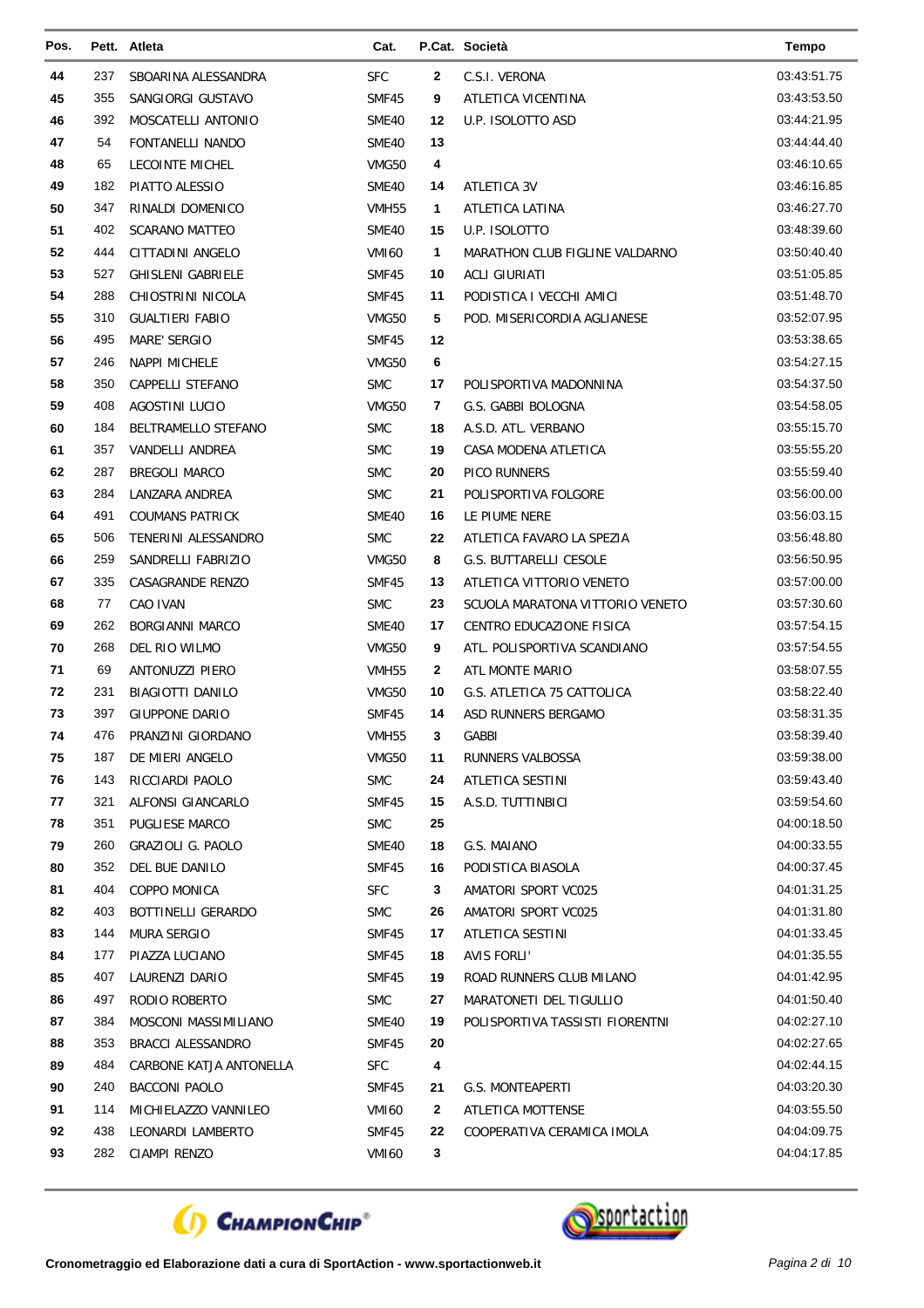| Pos. |     | Pett. Atleta               | Cat.              |    | P.Cat. Società                  | <b>Tempo</b> |
|------|-----|----------------------------|-------------------|----|---------------------------------|--------------|
| 44   | 237 | SBOARINA ALESSANDRA        | SFC               | 2  | C.S.I. VERONA                   | 03:43:51.75  |
| 45   | 355 | SANGIORGI GUSTAVO          | SMF45             | 9  | ATLETICA VICENTINA              | 03:43:53.50  |
| 46   | 392 | MOSCATELLI ANTONIO         | SME40             | 12 | U.P. ISOLOTTO ASD               | 03:44:21.95  |
| 47   | 54  | <b>FONTANELLI NANDO</b>    | SME40             | 13 |                                 | 03:44:44.40  |
| 48   | 65  | <b>LECOINTE MICHEL</b>     | VMG50             | 4  |                                 | 03:46:10.65  |
| 49   | 182 | PIATTO ALESSIO             | SME40             | 14 | ATLETICA 3V                     | 03:46:16.85  |
| 50   | 347 | RINALDI DOMENICO           | VMH <sub>55</sub> | 1  | ATLETICA LATINA                 | 03:46:27.70  |
| 51   | 402 | <b>SCARANO MATTEO</b>      | SME40             | 15 | U.P. ISOLOTTO                   | 03:48:39.60  |
| 52   | 444 | CITTADINI ANGELO           | <b>VMI60</b>      | 1  | MARATHON CLUB FIGLINE VALDARNO  | 03:50:40.40  |
| 53   | 527 | <b>GHISLENI GABRIELE</b>   | SMF45             | 10 | <b>ACLI GIURIATI</b>            | 03:51:05.85  |
| 54   | 288 | CHIOSTRINI NICOLA          | SMF45             | 11 | PODISTICA I VECCHI AMICI        | 03:51:48.70  |
| 55   | 310 | <b>GUALTIERI FABIO</b>     | VMG50             | 5  | POD. MISERICORDIA AGLIANESE     | 03:52:07.95  |
| 56   | 495 | <b>MARE' SERGIO</b>        | SMF45             | 12 |                                 | 03:53:38.65  |
| 57   | 246 | <b>NAPPI MICHELE</b>       | VMG50             | 6  |                                 | 03:54:27.15  |
| 58   | 350 | CAPPELLI STEFANO           | <b>SMC</b>        | 17 | POLISPORTIVA MADONNINA          | 03:54:37.50  |
| 59   | 408 | <b>AGOSTINI LUCIO</b>      | VMG50             | 7  | G.S. GABBI BOLOGNA              | 03:54:58.05  |
| 60   | 184 | <b>BELTRAMELLO STEFANO</b> | <b>SMC</b>        | 18 | A.S.D. ATL. VERBANO             | 03:55:15.70  |
| 61   | 357 | <b>VANDELLI ANDREA</b>     | <b>SMC</b>        | 19 | CASA MODENA ATLETICA            | 03:55:55.20  |
| 62   | 287 | <b>BREGOLI MARCO</b>       | <b>SMC</b>        | 20 | <b>PICO RUNNERS</b>             | 03:55:59.40  |
| 63   | 284 | LANZARA ANDREA             | <b>SMC</b>        | 21 | POLISPORTIVA FOLGORE            | 03:56:00.00  |
| 64   | 491 | <b>COUMANS PATRICK</b>     | SME40             | 16 | LE PIUME NERE                   | 03:56:03.15  |
| 65   | 506 | TENERINI ALESSANDRO        | <b>SMC</b>        | 22 | ATLETICA FAVARO LA SPEZIA       | 03:56:48.80  |
| 66   | 259 | SANDRELLI FABRIZIO         | VMG50             | 8  | <b>G.S. BUTTARELLI CESOLE</b>   | 03:56:50.95  |
| 67   | 335 | CASAGRANDE RENZO           | SMF45             | 13 | ATLETICA VITTORIO VENETO        | 03:57:00.00  |
| 68   | 77  | CAO IVAN                   | <b>SMC</b>        | 23 | SCUOLA MARATONA VITTORIO VENETO | 03:57:30.60  |
| 69   | 262 | <b>BORGIANNI MARCO</b>     | SME40             | 17 | CENTRO EDUCAZIONE FISICA        | 03:57:54.15  |
| 70   | 268 | DEL RIO WILMO              | VMG50             | 9  | ATL. POLISPORTIVA SCANDIANO     | 03:57:54.55  |
| 71   | 69  | <b>ANTONUZZI PIERO</b>     | VMH <sub>55</sub> | 2  | ATL MONTE MARIO                 | 03:58:07.55  |
| 72   | 231 | <b>BIAGIOTTI DANILO</b>    | VMG50             | 10 | G.S. ATLETICA 75 CATTOLICA      | 03:58:22.40  |
| 73   | 397 | <b>GIUPPONE DARIO</b>      | <b>SMF45</b>      | 14 | ASD RUNNERS BERGAMO             | 03:58:31.35  |
| 74   | 476 | PRANZINI GIORDANO          | VMH55             | З  | GABBI                           | 03:58:39.40  |
| 75   | 187 | DE MIERI ANGELO            | VMG50             | 11 | RUNNERS VALBOSSA                | 03:59:38.00  |
| 76   | 143 | RICCIARDI PAOLO            | <b>SMC</b>        | 24 | ATLETICA SESTINI                | 03:59:43.40  |
| 77   | 321 | ALFONSI GIANCARLO          | SMF45             | 15 | A.S.D. TUTTINBICI               | 03:59:54.60  |
| 78   | 351 | PUGLIESE MARCO             | <b>SMC</b>        | 25 |                                 | 04:00:18.50  |
| 79   | 260 | <b>GRAZIOLI G. PAOLO</b>   | SME40             | 18 | G.S. MAIANO                     | 04:00:33.55  |
| 80   | 352 | DEL BUE DANILO             | SMF45             | 16 | PODISTICA BIASOLA               | 04:00:37.45  |
| 81   | 404 | COPPO MONICA               | <b>SFC</b>        | 3  | AMATORI SPORT VC025             | 04:01:31.25  |
| 82   | 403 | BOTTINELLI GERARDO         | <b>SMC</b>        | 26 | AMATORI SPORT VC025             | 04:01:31.80  |
| 83   | 144 | <b>MURA SERGIO</b>         | SMF45             | 17 | ATLETICA SESTINI                | 04:01:33.45  |
| 84   | 177 | PIAZZA LUCIANO             | SMF45             | 18 | AVIS FORLI'                     | 04:01:35.55  |
| 85   | 407 | LAURENZI DARIO             | SMF45             | 19 | ROAD RUNNERS CLUB MILANO        | 04:01:42.95  |
| 86   | 497 | RODIO ROBERTO              | <b>SMC</b>        | 27 | MARATONETI DEL TIGULLIO         | 04:01:50.40  |
| 87   | 384 | MOSCONI MASSIMILIANO       | SME40             | 19 | POLISPORTIVA TASSISTI FIORENTNI | 04:02:27.10  |
| 88   | 353 | <b>BRACCI ALESSANDRO</b>   | SMF45             | 20 |                                 | 04:02:27.65  |
| 89   | 484 | CARBONE KATJA ANTONELLA    | <b>SFC</b>        | 4  |                                 | 04:02:44.15  |
| 90   | 240 | BACCONI PAOLO              | SMF45             | 21 | G.S. MONTEAPERTI                | 04:03:20.30  |
| 91   | 114 | MICHIELAZZO VANNILEO       | VMI60             | 2  | <b>ATLETICA MOTTENSE</b>        | 04:03:55.50  |
| 92   | 438 | LEONARDI LAMBERTO          | SMF45             | 22 | COOPERATIVA CERAMICA IMOLA      | 04:04:09.75  |
| 93   | 282 | CIAMPI RENZO               | VMI60             | 3  |                                 | 04:04:17.85  |



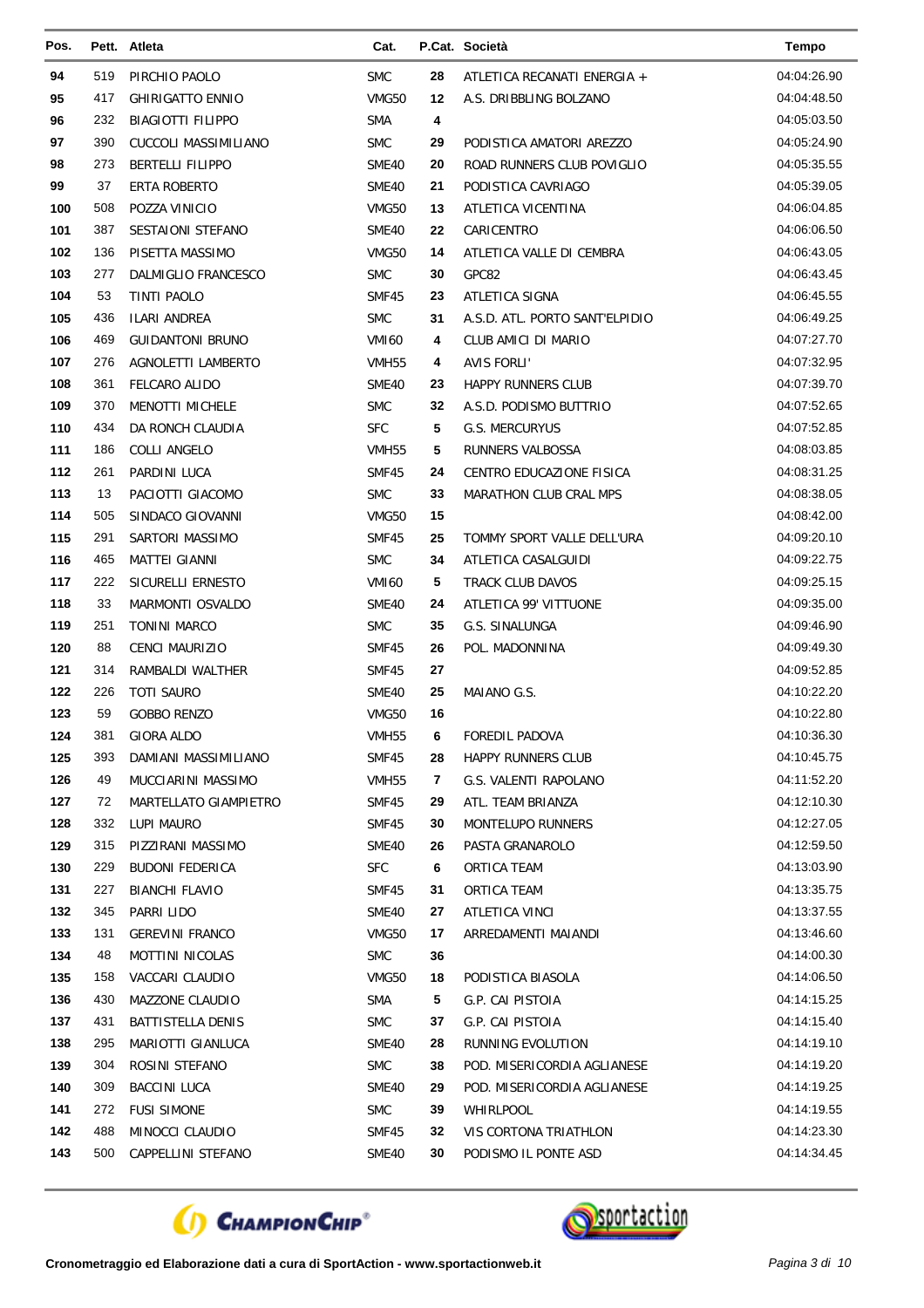| Pos.       |            | Pett. Atleta                        | Cat.                |          | P.Cat. Società                        | <b>Tempo</b>               |
|------------|------------|-------------------------------------|---------------------|----------|---------------------------------------|----------------------------|
| 94         | 519        | PIRCHIO PAOLO                       | <b>SMC</b>          | 28       | ATLETICA RECANATI ENERGIA +           | 04:04:26.90                |
| 95         | 417        | <b>GHIRIGATTO ENNIO</b>             | VMG50               | 12       | A.S. DRIBBLING BOLZANO                | 04:04:48.50                |
| 96         | 232        | <b>BIAGIOTTI FILIPPO</b>            | <b>SMA</b>          | 4        |                                       | 04:05:03.50                |
| 97         | 390        | CUCCOLI MASSIMILIANO                | <b>SMC</b>          | 29       | PODISTICA AMATORI AREZZO              | 04:05:24.90                |
| 98         | 273        | <b>BERTELLI FILIPPO</b>             | SME40               | 20       | ROAD RUNNERS CLUB POVIGLIO            | 04:05:35.55                |
| 99         | 37         | ERTA ROBERTO                        | SME40               | 21       | PODISTICA CAVRIAGO                    | 04:05:39.05                |
| 100        | 508        | POZZA VINICIO                       | VMG50               | 13       | ATLETICA VICENTINA                    | 04:06:04.85                |
| 101        | 387        | <b>SESTAIONI STEFANO</b>            | SME40               | 22       | CARICENTRO                            | 04:06:06.50                |
| 102        | 136        | PISETTA MASSIMO                     | VMG50               | 14       | ATLETICA VALLE DI CEMBRA              | 04:06:43.05                |
| 103        | 277        | DALMIGLIO FRANCESCO                 | <b>SMC</b>          | 30       | GPC82                                 | 04:06:43.45                |
| 104        | 53         | TINTI PAOLO                         | SMF45               | 23       | ATLETICA SIGNA                        | 04:06:45.55                |
| 105        | 436        | ILARI ANDREA                        | <b>SMC</b>          | 31       | A.S.D. ATL. PORTO SANT'ELPIDIO        | 04:06:49.25                |
| 106        | 469        | <b>GUIDANTONI BRUNO</b>             | <b>VMI60</b>        | 4        | CLUB AMICI DI MARIO                   | 04:07:27.70                |
| 107        | 276        | AGNOLETTI LAMBERTO                  | VMH <sub>55</sub>   | 4        | <b>AVIS FORLI'</b>                    | 04:07:32.95                |
| 108        | 361        | FELCARO ALIDO                       | SME40               | 23       | <b>HAPPY RUNNERS CLUB</b>             | 04:07:39.70                |
| 109        | 370        | <b>MENOTTI MICHELE</b>              | <b>SMC</b>          | 32       | A.S.D. PODISMO BUTTRIO                | 04:07:52.65                |
| 110        | 434        | DA RONCH CLAUDIA                    | <b>SFC</b>          | 5        | G.S. MERCURYUS                        | 04:07:52.85                |
| 111        | 186        | <b>COLLI ANGELO</b>                 | VMH <sub>55</sub>   | 5        | <b>RUNNERS VALBOSSA</b>               | 04:08:03.85                |
| 112        | 261        | PARDINI LUCA                        | SMF45               | 24       | CENTRO EDUCAZIONE FISICA              | 04:08:31.25                |
| 113        | 13         | PACIOTTI GIACOMO                    | <b>SMC</b>          | 33       | MARATHON CLUB CRAL MPS                | 04:08:38.05                |
| 114        | 505        | SINDACO GIOVANNI                    | VMG50               | 15       |                                       | 04:08:42.00                |
| 115        | 291        | SARTORI MASSIMO                     | SMF45               | 25       | TOMMY SPORT VALLE DELL'URA            | 04:09:20.10                |
| 116        | 465        | <b>MATTEI GIANNI</b>                | <b>SMC</b>          | 34       | ATLETICA CASALGUIDI                   | 04:09:22.75                |
| 117        | 222        | SICURELLI ERNESTO                   | <b>VMI60</b>        | 5        | TRACK CLUB DAVOS                      | 04:09:25.15                |
| 118        | 33         | MARMONTI OSVALDO                    | SME40               | 24       | ATLETICA 99' VITTUONE                 | 04:09:35.00                |
| 119        | 251        | <b>TONINI MARCO</b>                 | <b>SMC</b>          | 35       | G.S. SINALUNGA                        | 04:09:46.90                |
| 120        | 88         | CENCI MAURIZIO                      | SMF45               | 26       | POL. MADONNINA                        | 04:09:49.30                |
| 121        | 314        | RAMBALDI WALTHER                    | SMF45               | 27       |                                       | 04:09:52.85                |
| 122        | 226        | <b>TOTI SAURO</b>                   | SME40               | 25       | MAIANO G.S.                           | 04:10:22.20                |
| 123        | 59         | <b>GOBBO RENZO</b>                  | VMG50               | 16       |                                       | 04:10:22.80                |
| 124        | 381        | GIORA ALDO                          | VMH <sub>55</sub>   | 6        | <b>FOREDIL PADOVA</b>                 | 04:10:36.30                |
| 125        | 393        | DAMIANI MASSIMILIANO                | SMF45               | 28       | <b>HAPPY RUNNERS CLUB</b>             | 04:10:45.75                |
| 126        | 49         | MUCCIARINI MASSIMO                  | VMH55               | 7        | G.S. VALENTI RAPOLANO                 | 04:11:52.20                |
| 127        | 72         | MARTELLATO GIAMPIETRO               | SMF45               | 29       | ATL. TEAM BRIANZA                     | 04:12:10.30                |
| 128        | 332        | LUPI MAURO                          | SMF45               | 30       | <b>MONTELUPO RUNNERS</b>              | 04:12:27.05                |
| 129        | 315        | PIZZIRANI MASSIMO                   | SME40               | 26       | PASTA GRANAROLO                       | 04:12:59.50                |
| 130        | 229        | <b>BUDONI FEDERICA</b>              | <b>SFC</b>          | 6        | ORTICA TEAM                           | 04:13:03.90                |
| 131<br>132 | 227<br>345 | <b>BIANCHI FLAVIO</b><br>PARRI LIDO | SMF45               | 31       | ORTICA TEAM<br>ATLETICA VINCI         | 04:13:35.75<br>04:13:37.55 |
| 133        | 131        | <b>GEREVINI FRANCO</b>              | SME40<br>VMG50      | 27       | ARREDAMENTI MAIANDI                   | 04:13:46.60                |
| 134        | 48         | MOTTINI NICOLAS                     | <b>SMC</b>          | 17<br>36 |                                       | 04:14:00.30                |
| 135        | 158        | VACCARI CLAUDIO                     |                     |          |                                       | 04:14:06.50                |
| 136        | 430        | MAZZONE CLAUDIO                     | VMG50<br><b>SMA</b> | 18<br>5  | PODISTICA BIASOLA<br>G.P. CAI PISTOIA | 04:14:15.25                |
| 137        | 431        | BATTISTELLA DENIS                   | <b>SMC</b>          | 37       | G.P. CAI PISTOIA                      | 04:14:15.40                |
| 138        | 295        | MARIOTTI GIANLUCA                   | SME40               | 28       | RUNNING EVOLUTION                     | 04:14:19.10                |
| 139        | 304        | ROSINI STEFANO                      | <b>SMC</b>          | 38       | POD. MISERICORDIA AGLIANESE           | 04:14:19.20                |
| 140        | 309        | <b>BACCINI LUCA</b>                 | SME40               | 29       | POD. MISERICORDIA AGLIANESE           | 04:14:19.25                |
| 141        | 272        | <b>FUSI SIMONE</b>                  | <b>SMC</b>          | 39       | WHIRLPOOL                             | 04:14:19.55                |
| 142        | 488        | MINOCCI CLAUDIO                     | SMF45               | 32       | VIS CORTONA TRIATHLON                 | 04:14:23.30                |
| 143        | 500        | CAPPELLINI STEFANO                  | SME40               | 30       | PODISMO IL PONTE ASD                  | 04:14:34.45                |
|            |            |                                     |                     |          |                                       |                            |



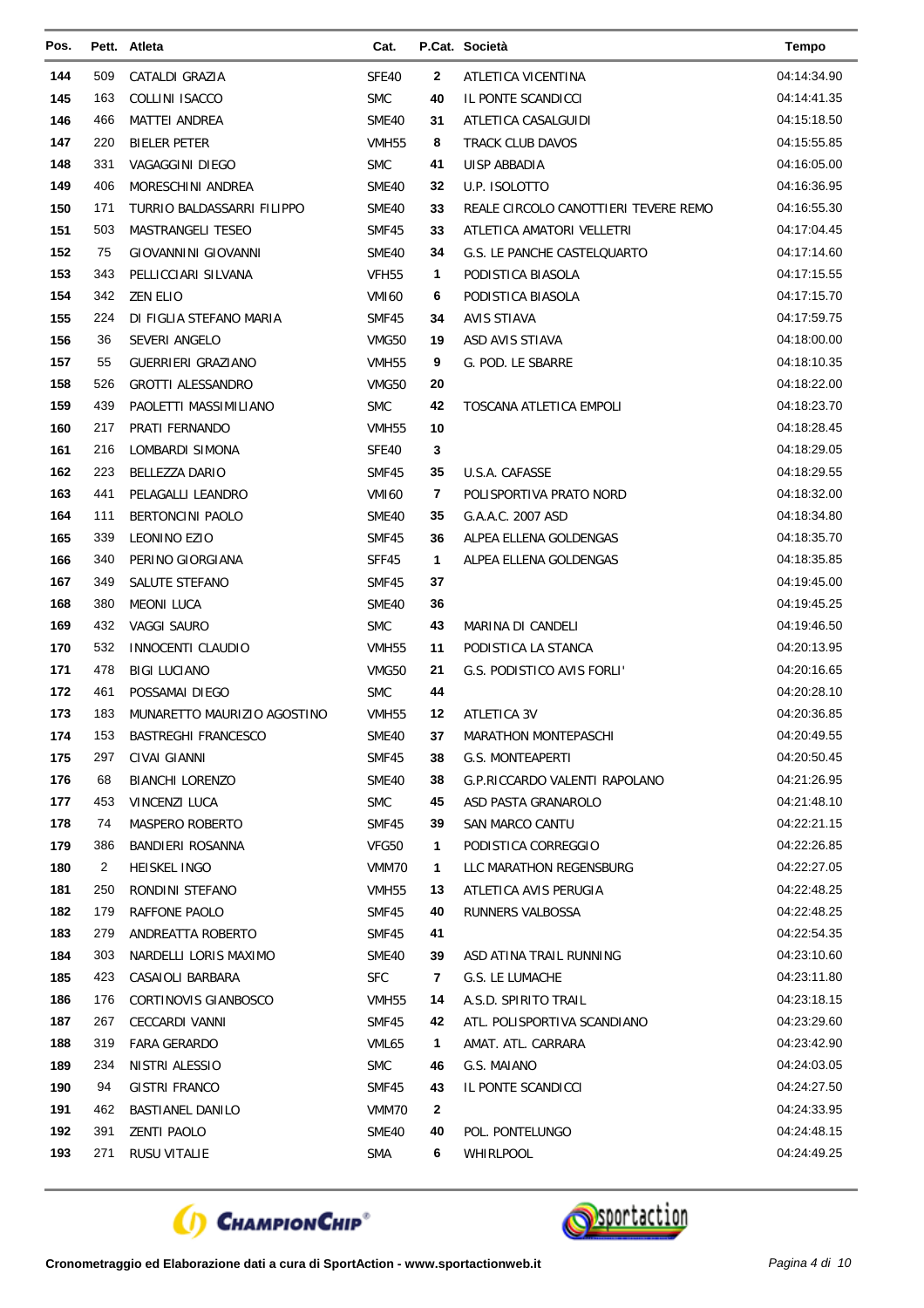| Pos. |     | Pett. Atleta                | Cat.              |              | P.Cat. Società                       | <b>Tempo</b> |
|------|-----|-----------------------------|-------------------|--------------|--------------------------------------|--------------|
| 144  | 509 | CATALDI GRAZIA              | SFE40             | 2            | ATLETICA VICENTINA                   | 04:14:34.90  |
| 145  | 163 | COLLINI ISACCO              | <b>SMC</b>        | 40           | IL PONTE SCANDICCI                   | 04:14:41.35  |
| 146  | 466 | MATTEI ANDREA               | SME40             | 31           | ATLETICA CASALGUIDI                  | 04:15:18.50  |
| 147  | 220 | <b>BIELER PETER</b>         | VMH55             | 8            | <b>TRACK CLUB DAVOS</b>              | 04:15:55.85  |
| 148  | 331 | VAGAGGINI DIEGO             | <b>SMC</b>        | 41           | UISP ABBADIA                         | 04:16:05.00  |
| 149  | 406 | MORESCHINI ANDREA           | SME40             | 32           | U.P. ISOLOTTO                        | 04:16:36.95  |
| 150  | 171 | TURRIO BALDASSARRI FILIPPO  | SME40             | 33           | REALE CIRCOLO CANOTTIERI TEVERE REMO | 04:16:55.30  |
| 151  | 503 | MASTRANGELI TESEO           | SMF45             | 33           | ATLETICA AMATORI VELLETRI            | 04:17:04.45  |
| 152  | 75  | <b>GIOVANNINI GIOVANNI</b>  | SME40             | 34           | G.S. LE PANCHE CASTELQUARTO          | 04:17:14.60  |
| 153  | 343 | PELLICCIARI SILVANA         | VFH <sub>55</sub> | 1            | PODISTICA BIASOLA                    | 04:17:15.55  |
| 154  | 342 | <b>ZEN ELIO</b>             | VMI <sub>60</sub> | 6            | PODISTICA BIASOLA                    | 04:17:15.70  |
| 155  | 224 | DI FIGLIA STEFANO MARIA     | SMF45             | 34           | <b>AVIS STIAVA</b>                   | 04:17:59.75  |
| 156  | 36  | SEVERI ANGELO               | VMG50             | 19           | ASD AVIS STIAVA                      | 04:18:00.00  |
| 157  | 55  | <b>GUERRIERI GRAZIANO</b>   | VMH <sub>55</sub> | 9            | G. POD. LE SBARRE                    | 04:18:10.35  |
| 158  | 526 | <b>GROTTI ALESSANDRO</b>    | VMG50             | 20           |                                      | 04:18:22.00  |
| 159  | 439 | PAOLETTI MASSIMILIANO       | <b>SMC</b>        | 42           | TOSCANA ATLETICA EMPOLI              | 04:18:23.70  |
| 160  | 217 | PRATI FERNANDO              | VMH <sub>55</sub> | 10           |                                      | 04:18:28.45  |
| 161  | 216 | LOMBARDI SIMONA             | SFE40             | 3            |                                      | 04:18:29.05  |
| 162  | 223 | <b>BELLEZZA DARIO</b>       | SMF45             | 35           | U.S.A. CAFASSE                       | 04:18:29.55  |
| 163  | 441 | PELAGALLI LEANDRO           | <b>VMI60</b>      | 7            | POLISPORTIVA PRATO NORD              | 04:18:32.00  |
| 164  | 111 | <b>BERTONCINI PAOLO</b>     | SME40             | 35           | G.A.A.C. 2007 ASD                    | 04:18:34.80  |
| 165  | 339 | <b>LEONINO EZIO</b>         | SMF45             | 36           | ALPEA ELLENA GOLDENGAS               | 04:18:35.70  |
| 166  | 340 | PERINO GIORGIANA            | SFF45             | 1            | ALPEA ELLENA GOLDENGAS               | 04:18:35.85  |
| 167  | 349 | SALUTE STEFANO              | SMF45             | 37           |                                      | 04:19:45.00  |
| 168  | 380 | <b>MEONI LUCA</b>           | SME40             | 36           |                                      | 04:19:45.25  |
| 169  | 432 | VAGGI SAURO                 | <b>SMC</b>        | 43           | MARINA DI CANDELI                    | 04:19:46.50  |
| 170  | 532 | <b>INNOCENTI CLAUDIO</b>    | VMH55             | 11           | PODISTICA LA STANCA                  | 04:20:13.95  |
| 171  | 478 | <b>BIGI LUCIANO</b>         | VMG50             | 21           | G.S. PODISTICO AVIS FORLI'           | 04:20:16.65  |
| 172  | 461 | POSSAMAI DIEGO              | <b>SMC</b>        | 44           |                                      | 04:20:28.10  |
| 173  | 183 | MUNARETTO MAURIZIO AGOSTINO | VMH <sub>55</sub> | 12           | ATLETICA 3V                          | 04:20:36.85  |
| 174  | 153 | <b>BASTREGHI FRANCESCO</b>  | SME40             | 37           | MARATHON MONTEPASCHI                 | 04:20:49.55  |
| 175  | 297 | CIVAI GIANNI                | SMF45             | 38           | <b>G.S. MONTEAPERTI</b>              | 04:20:50.45  |
| 176  | 68  | BIANCHI LORENZO             | SME40             | 38           | G.P.RICCARDO VALENTI RAPOLANO        | 04:21:26.95  |
| 177  | 453 | <b>VINCENZI LUCA</b>        | <b>SMC</b>        | 45           | ASD PASTA GRANAROLO                  | 04:21:48.10  |
| 178  | 74  | MASPERO ROBERTO             | SMF45             | 39           | SAN MARCO CANTU                      | 04:22:21.15  |
| 179  | 386 | BANDIERI ROSANNA            | VFG50             | 1            | PODISTICA CORREGGIO                  | 04:22:26.85  |
| 180  | 2   | HEISKEL INGO                | VMM70             | 1            | LLC MARATHON REGENSBURG              | 04:22:27.05  |
| 181  | 250 | RONDINI STEFANO             | VMH55             | 13           | ATLETICA AVIS PERUGIA                | 04:22:48.25  |
| 182  | 179 | RAFFONE PAOLO               | SMF45             | 40           | RUNNERS VALBOSSA                     | 04:22:48.25  |
| 183  | 279 | ANDREATTA ROBERTO           | SMF45             | 41           |                                      | 04:22:54.35  |
| 184  | 303 | NARDELLI LORIS MAXIMO       | SME40             | 39           | ASD ATINA TRAIL RUNNING              | 04:23:10.60  |
| 185  | 423 | CASAIOLI BARBARA            | <b>SFC</b>        | 7            | G.S. LE LUMACHE                      | 04:23:11.80  |
| 186  | 176 | CORTINOVIS GIANBOSCO        | VMH55             | 14           | A.S.D. SPIRITO TRAIL                 | 04:23:18.15  |
| 187  | 267 | CECCARDI VANNI              | SMF45             | 42           | ATL. POLISPORTIVA SCANDIANO          | 04:23:29.60  |
| 188  | 319 | <b>FARA GERARDO</b>         | VML65             | 1            | AMAT. ATL. CARRARA                   | 04:23:42.90  |
| 189  | 234 | NISTRI ALESSIO              | <b>SMC</b>        | 46           | G.S. MAIANO                          | 04:24:03.05  |
| 190  | 94  | GISTRI FRANCO               | SMF45             | 43           | IL PONTE SCANDICCI                   | 04:24:27.50  |
| 191  | 462 | <b>BASTIANEL DANILO</b>     | VMM70             | $\mathbf{2}$ |                                      | 04:24:33.95  |
| 192  | 391 | <b>ZENTI PAOLO</b>          | SME40             | 40           | POL. PONTELUNGO                      | 04:24:48.15  |
| 193  | 271 | RUSU VITALIE                | SMA               | 6            | WHIRLPOOL                            | 04:24:49.25  |



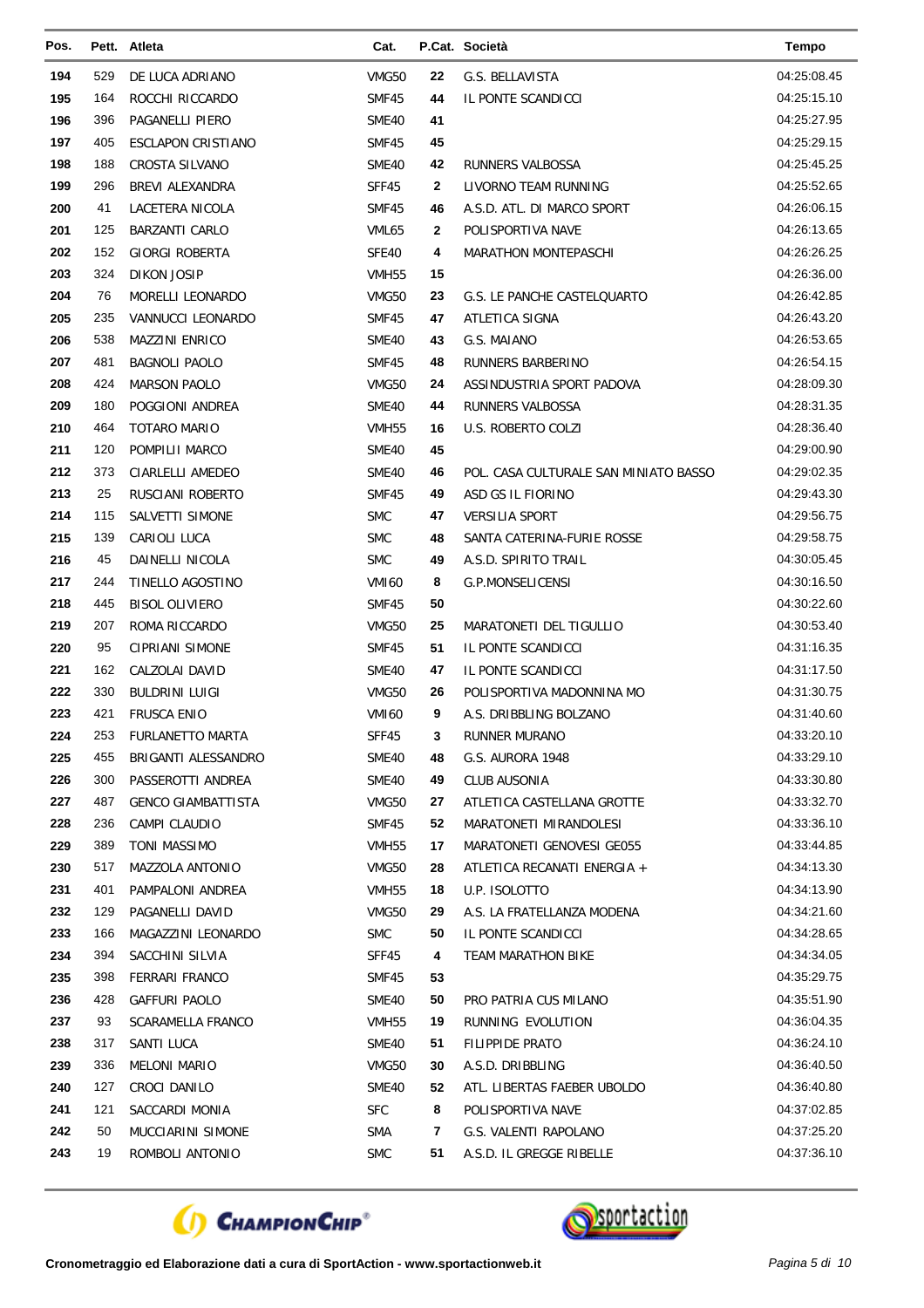| Pos.       |            | Pett. Atleta              | Cat.              |              | P.Cat. Società                        | <b>Tempo</b>               |
|------------|------------|---------------------------|-------------------|--------------|---------------------------------------|----------------------------|
| 194        | 529        | DE LUCA ADRIANO           | VMG50             | 22           | G.S. BELLAVISTA                       | 04:25:08.45                |
| 195        | 164        | ROCCHI RICCARDO           | SMF45             | 44           | IL PONTE SCANDICCI                    | 04:25:15.10                |
| 196        | 396        | <b>PAGANELLI PIERO</b>    | SME40             | 41           |                                       | 04:25:27.95                |
| 197        | 405        | <b>ESCLAPON CRISTIANO</b> | SMF45             | 45           |                                       | 04:25:29.15                |
| 198        | 188        | <b>CROSTA SILVANO</b>     | SME40             | 42           | RUNNERS VALBOSSA                      | 04:25:45.25                |
| 199        | 296        | BREVI ALEXANDRA           | SFF45             | $\mathbf{2}$ | LIVORNO TEAM RUNNING                  | 04:25:52.65                |
| 200        | 41         | LACETERA NICOLA           | SMF45             | 46           | A.S.D. ATL. DI MARCO SPORT            | 04:26:06.15                |
| 201        | 125        | <b>BARZANTI CARLO</b>     | VML65             | $\mathbf{2}$ | POLISPORTIVA NAVE                     | 04:26:13.65                |
| 202        | 152        | <b>GIORGI ROBERTA</b>     | SFE40             | 4            | MARATHON MONTEPASCHI                  | 04:26:26.25                |
| 203        | 324        | <b>DIKON JOSIP</b>        | VMH <sub>55</sub> | 15           |                                       | 04:26:36.00                |
| 204        | 76         | MORELLI LEONARDO          | VMG50             | 23           | G.S. LE PANCHE CASTELQUARTO           | 04:26:42.85                |
| 205        | 235        | VANNUCCI LEONARDO         | SMF45             | 47           | ATLETICA SIGNA                        | 04:26:43.20                |
| 206        | 538        | <b>MAZZINI ENRICO</b>     | SME40             | 43           | G.S. MAIANO                           | 04:26:53.65                |
| 207        | 481        | <b>BAGNOLI PAOLO</b>      | SMF45             | 48           | RUNNERS BARBERINO                     | 04:26:54.15                |
| 208        | 424        | <b>MARSON PAOLO</b>       | VMG50             | 24           | ASSINDUSTRIA SPORT PADOVA             | 04:28:09.30                |
| 209        | 180        | POGGIONI ANDREA           | SME40             | 44           | RUNNERS VALBOSSA                      | 04:28:31.35                |
| 210        | 464        | <b>TOTARO MARIO</b>       | <b>VMH55</b>      | 16           | <b>U.S. ROBERTO COLZI</b>             | 04:28:36.40                |
| 211        | 120        | POMPILII MARCO            | SME40             | 45           |                                       | 04:29:00.90                |
| 212        | 373        | CIARLELLI AMEDEO          | SME40             | 46           | POL. CASA CULTURALE SAN MINIATO BASSO | 04:29:02.35                |
| 213        | 25         | RUSCIANI ROBERTO          | SMF45             | 49           | ASD GS IL FIORINO                     | 04:29:43.30                |
| 214        | 115        | SALVETTI SIMONE           | <b>SMC</b>        | 47           | <b>VERSILIA SPORT</b>                 | 04:29:56.75                |
| 215        | 139        | CARIOLI LUCA              | <b>SMC</b>        | 48           | SANTA CATERINA-FURIE ROSSE            | 04:29:58.75                |
| 216        | 45         | DAINELLI NICOLA           | <b>SMC</b>        | 49           | A.S.D. SPIRITO TRAIL                  | 04:30:05.45                |
| 217        | 244        | TINELLO AGOSTINO          | <b>VMI60</b>      | 8            | G.P.MONSELICENSI                      | 04:30:16.50                |
| 218        | 445        | <b>BISOL OLIVIERO</b>     | SMF45             | 50           |                                       | 04:30:22.60                |
| 219        | 207        | ROMA RICCARDO             | VMG50             | 25           | MARATONETI DEL TIGULLIO               | 04:30:53.40                |
| 220        | 95         | <b>CIPRIANI SIMONE</b>    | SMF45             | 51           | IL PONTE SCANDICCI                    | 04:31:16.35                |
| 221        | 162        | CALZOLAI DAVID            | SME40             | 47           | IL PONTE SCANDICCI                    | 04:31:17.50                |
| 222        | 330        | <b>BULDRINI LUIGI</b>     | <b>VMG50</b>      | 26           | POLISPORTIVA MADONNINA MO             | 04:31:30.75                |
| 223        | 421        | <b>FRUSCA ENIO</b>        | VMI60             | 9            | A.S. DRIBBLING BOLZANO                | 04:31:40.60                |
| 224        | 253        | <b>FURLANETTO MARTA</b>   | SFF45             | 3            | RUNNER MURANO                         | 04:33:20.10                |
| 225        | 455        | BRIGANTI ALESSANDRO       | SME40             | 48           | G.S. AURORA 1948                      | 04:33:29.10                |
| 226        | 300        | PASSEROTTI ANDREA         | SME40             | 49           | <b>CLUB AUSONIA</b>                   | 04:33:30.80                |
| 227        | 487        | <b>GENCO GIAMBATTISTA</b> | VMG50             | 27           | ATLETICA CASTELLANA GROTTE            | 04:33:32.70                |
| 228        | 236        | CAMPI CLAUDIO             | SMF45             | 52           | MARATONETI MIRANDOLESI                | 04:33:36.10                |
| 229        | 389        | TONI MASSIMO              | VMH <sub>55</sub> | 17           | MARATONETI GENOVESI GE055             | 04:33:44.85                |
| 230        | 517        | <b>MAZZOLA ANTONIO</b>    | VMG50             | 28           | ATLETICA RECANATI ENERGIA +           | 04:34:13.30                |
| 231        | 401        | PAMPALONI ANDREA          | VMH <sub>55</sub> | 18           | U.P. ISOLOTTO                         | 04:34:13.90                |
| 232        | 129        | PAGANELLI DAVID           | VMG50             | 29           | A.S. LA FRATELLANZA MODENA            | 04:34:21.60                |
| 233        | 166        | MAGAZZINI LEONARDO        | <b>SMC</b>        | 50           | IL PONTE SCANDICCI                    | 04:34:28.65                |
| 234        | 394        | SACCHINI SILVIA           | SFF45             | 4            | <b>TEAM MARATHON BIKE</b>             | 04:34:34.05                |
| 235        | 398        | FERRARI FRANCO            | SMF45             | 53           |                                       | 04:35:29.75                |
| 236        | 428        | <b>GAFFURI PAOLO</b>      | SME40             | 50           | PRO PATRIA CUS MILANO                 | 04:35:51.90                |
| 237        | 93         | <b>SCARAMELLA FRANCO</b>  | VMH <sub>55</sub> | 19           | RUNNING EVOLUTION                     | 04:36:04.35                |
| 238        | 317        | SANTI LUCA                | SME40             | 51           | <b>FILIPPIDE PRATO</b>                | 04:36:24.10                |
| 239        | 336        | <b>MELONI MARIO</b>       | VMG50             | 30           | A.S.D. DRIBBLING                      | 04:36:40.50                |
| 240        | 127<br>121 | CROCI DANILO              | SME40             | 52           | ATL. LIBERTAS FAEBER UBOLDO           | 04:36:40.80<br>04:37:02.85 |
| 241<br>242 | 50         | SACCARDI MONIA            | <b>SFC</b>        | 8            | POLISPORTIVA NAVE                     | 04:37:25.20                |
|            |            | MUCCIARINI SIMONE         | <b>SMA</b>        | 7            | G.S. VALENTI RAPOLANO                 |                            |
| 243        | 19         | ROMBOLI ANTONIO           | <b>SMC</b>        | 51           | A.S.D. IL GREGGE RIBELLE              | 04:37:36.10                |



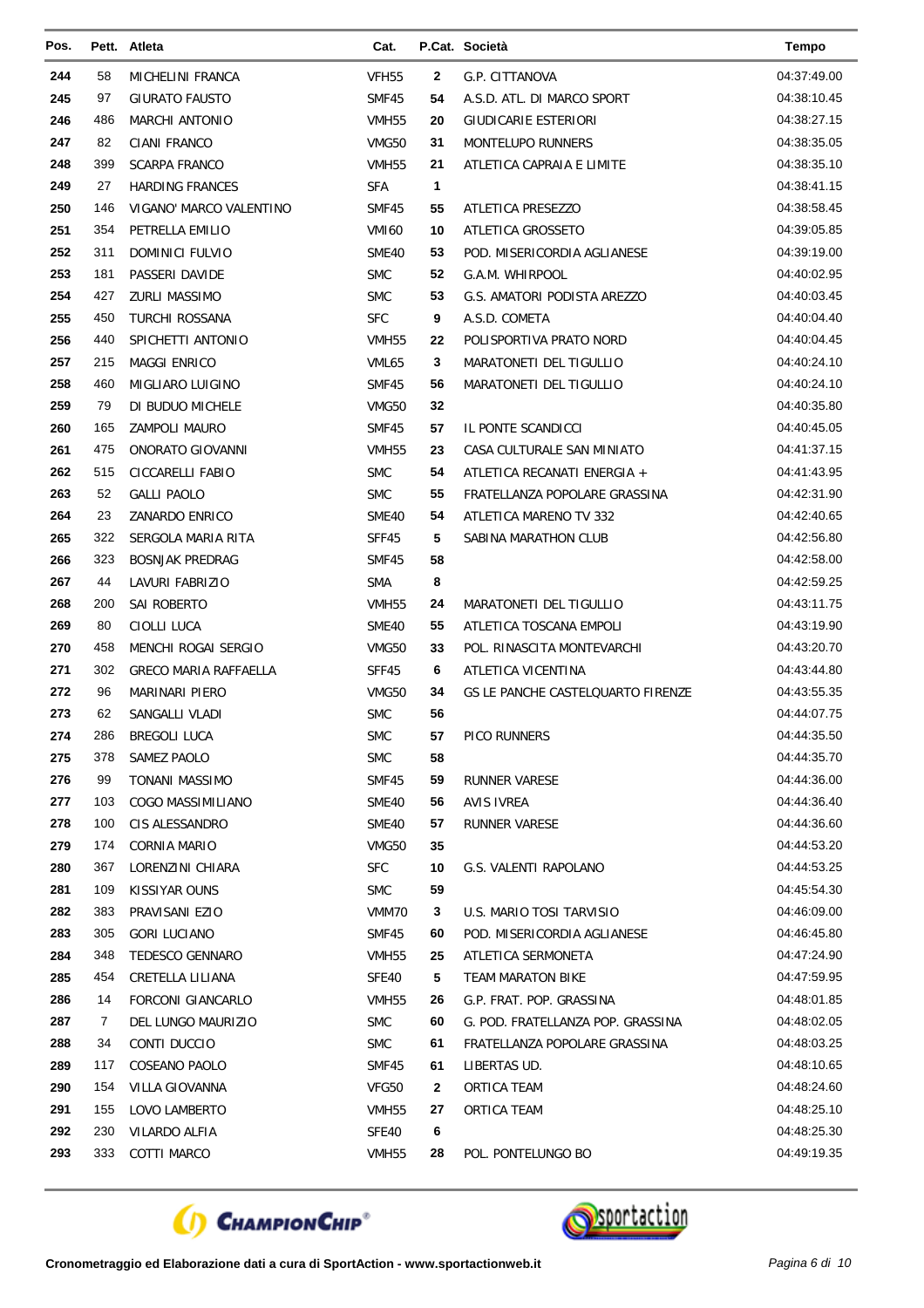| Pos. |     | Pett. Atleta                 | Cat.              |              | P.Cat. Società                    | <b>Tempo</b> |
|------|-----|------------------------------|-------------------|--------------|-----------------------------------|--------------|
| 244  | 58  | MICHELINI FRANCA             | <b>VFH55</b>      | 2            | G.P. CITTANOVA                    | 04:37:49.00  |
| 245  | 97  | <b>GIURATO FAUSTO</b>        | SMF45             | 54           | A.S.D. ATL. DI MARCO SPORT        | 04:38:10.45  |
| 246  | 486 | <b>MARCHI ANTONIO</b>        | VMH <sub>55</sub> | 20           | <b>GIUDICARIE ESTERIORI</b>       | 04:38:27.15  |
| 247  | 82  | <b>CIANI FRANCO</b>          | VMG50             | 31           | <b>MONTELUPO RUNNERS</b>          | 04:38:35.05  |
| 248  | 399 | <b>SCARPA FRANCO</b>         | VMH55             | 21           | ATLETICA CAPRAIA E LIMITE         | 04:38:35.10  |
| 249  | 27  | HARDING FRANCES              | <b>SFA</b>        | $\mathbf{1}$ |                                   | 04:38:41.15  |
| 250  | 146 | VIGANO' MARCO VALENTINO      | SMF45             | 55           | ATLETICA PRESEZZO                 | 04:38:58.45  |
| 251  | 354 | PETRELLA EMILIO              | <b>VMI60</b>      | 10           | ATLETICA GROSSETO                 | 04:39:05.85  |
| 252  | 311 | <b>DOMINICI FULVIO</b>       | <b>SME40</b>      | 53           | POD. MISERICORDIA AGLIANESE       | 04:39:19.00  |
| 253  | 181 | PASSERI DAVIDE               | <b>SMC</b>        | 52           | G.A.M. WHIRPOOL                   | 04:40:02.95  |
| 254  | 427 | <b>ZURLI MASSIMO</b>         | <b>SMC</b>        | 53           | G.S. AMATORI PODISTA AREZZO       | 04:40:03.45  |
| 255  | 450 | TURCHI ROSSANA               | <b>SFC</b>        | 9            | A.S.D. COMETA                     | 04:40:04.40  |
| 256  | 440 | SPICHETTI ANTONIO            | VMH <sub>55</sub> | 22           | POLISPORTIVA PRATO NORD           | 04:40:04.45  |
| 257  | 215 | <b>MAGGI ENRICO</b>          | VML65             | 3            | <b>MARATONETI DEL TIGULLIO</b>    | 04:40:24.10  |
| 258  | 460 | MIGLIARO LUIGINO             | SMF45             | 56           | MARATONETI DEL TIGULLIO           | 04:40:24.10  |
| 259  | 79  | DI BUDUO MICHELE             | VMG50             | 32           |                                   | 04:40:35.80  |
| 260  | 165 | <b>ZAMPOLI MAURO</b>         | SMF45             | 57           | IL PONTE SCANDICCI                | 04:40:45.05  |
| 261  | 475 | ONORATO GIOVANNI             | VMH <sub>55</sub> | 23           | CASA CULTURALE SAN MINIATO        | 04:41:37.15  |
| 262  | 515 | CICCARELLI FABIO             | <b>SMC</b>        | 54           | ATLETICA RECANATI ENERGIA +       | 04:41:43.95  |
| 263  | 52  | <b>GALLI PAOLO</b>           | <b>SMC</b>        | 55           | FRATELLANZA POPOLARE GRASSINA     | 04:42:31.90  |
| 264  | 23  | ZANARDO ENRICO               | SME40             | 54           | ATLETICA MARENO TV 332            | 04:42:40.65  |
| 265  | 322 | SERGOLA MARIA RITA           | SFF45             | 5            | SABINA MARATHON CLUB              | 04:42:56.80  |
| 266  | 323 | <b>BOSNJAK PREDRAG</b>       | SMF45             | 58           |                                   | 04:42:58.00  |
| 267  | 44  | LAVURI FABRIZIO              | <b>SMA</b>        | 8            |                                   | 04:42:59.25  |
| 268  | 200 | SAI ROBERTO                  | VMH <sub>55</sub> | 24           | MARATONETI DEL TIGULLIO           | 04:43:11.75  |
| 269  | 80  | CIOLLI LUCA                  | SME40             | 55           | ATLETICA TOSCANA EMPOLI           | 04:43:19.90  |
| 270  | 458 | MENCHI ROGAI SERGIO          | VMG50             | 33           | POL. RINASCITA MONTEVARCHI        | 04:43:20.70  |
| 271  | 302 | <b>GRECO MARIA RAFFAELLA</b> | SFF45             | 6            | ATLETICA VICENTINA                | 04:43:44.80  |
| 272  | 96  | MARINARI PIERO               | VMG50             | 34           | GS LE PANCHE CASTELQUARTO FIRENZE | 04:43:55.35  |
| 273  | 62  | SANGALLI VLADI               | <b>SMC</b>        | 56           |                                   | 04:44:07.75  |
| 274  | 286 | <b>BREGOLI LUCA</b>          | <b>SMC</b>        | 57           | PICO RUNNERS                      | 04:44:35.50  |
| 275  | 378 | SAMEZ PAOLO                  | <b>SMC</b>        | 58           |                                   | 04:44:35.70  |
| 276  | 99  | TONANI MASSIMO               | SMF45             | 59           | RUNNER VARESE                     | 04:44:36.00  |
| 277  | 103 | COGO MASSIMILIANO            | SME40             | 56           | AVIS IVREA                        | 04:44:36.40  |
| 278  | 100 | CIS ALESSANDRO               | SME40             | 57           | RUNNER VARESE                     | 04:44:36.60  |
| 279  | 174 | CORNIA MARIO                 | VMG50             | 35           |                                   | 04:44:53.20  |
| 280  | 367 | LORENZINI CHIARA             | <b>SFC</b>        | 10           | G.S. VALENTI RAPOLANO             | 04:44:53.25  |
| 281  | 109 | KISSIYAR OUNS                | <b>SMC</b>        | 59           |                                   | 04:45:54.30  |
| 282  | 383 | PRAVISANI EZIO               | VMM70             | 3            | U.S. MARIO TOSI TARVISIO          | 04:46:09.00  |
| 283  | 305 | <b>GORI LUCIANO</b>          | SMF45             | 60           | POD. MISERICORDIA AGLIANESE       | 04:46:45.80  |
| 284  | 348 | TEDESCO GENNARO              | VMH55             | 25           | ATLETICA SERMONETA                | 04:47:24.90  |
| 285  | 454 | CRETELLA LILIANA             | SFE40             | 5            | TEAM MARATON BIKE                 | 04:47:59.95  |
| 286  | 14  | FORCONI GIANCARLO            | VMH <sub>55</sub> | 26           | G.P. FRAT. POP. GRASSINA          | 04:48:01.85  |
| 287  | 7   | DEL LUNGO MAURIZIO           | <b>SMC</b>        | 60           | G. POD. FRATELLANZA POP. GRASSINA | 04:48:02.05  |
| 288  | 34  | CONTI DUCCIO                 | <b>SMC</b>        | 61           | FRATELLANZA POPOLARE GRASSINA     | 04:48:03.25  |
| 289  | 117 | COSEANO PAOLO                | SMF45             | 61           | LIBERTAS UD.                      | 04:48:10.65  |
| 290  | 154 | VILLA GIOVANNA               | VFG50             | 2            | ORTICA TEAM                       | 04:48:24.60  |
| 291  | 155 | LOVO LAMBERTO                | VMH <sub>55</sub> | 27           | ORTICA TEAM                       | 04:48:25.10  |
| 292  | 230 | VILARDO ALFIA                | SFE40             | 6            |                                   | 04:48:25.30  |
| 293  | 333 | COTTI MARCO                  | VMH <sub>55</sub> | 28           | POL. PONTELUNGO BO                | 04:49:19.35  |



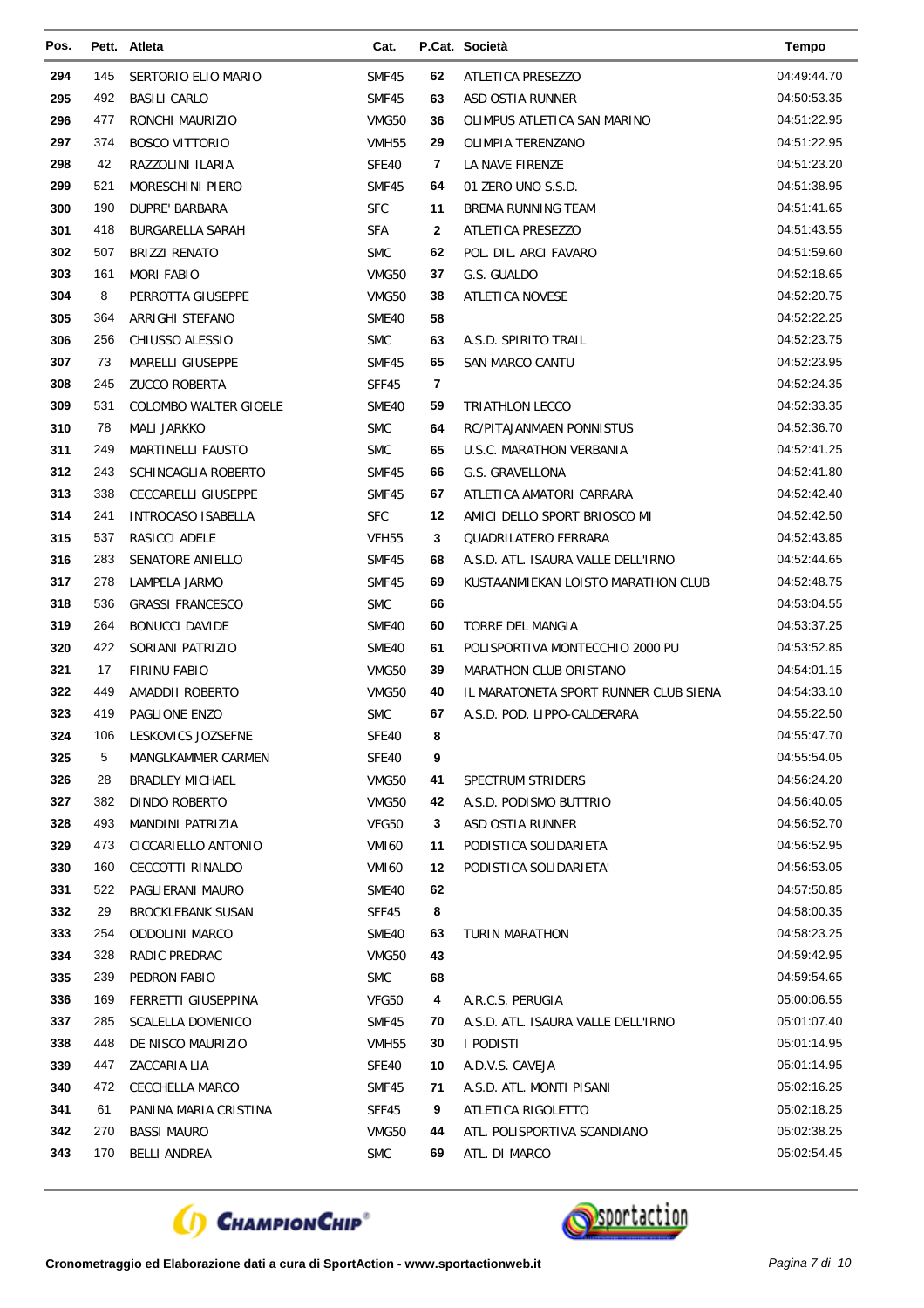| Pos. |     | Pett. Atleta             | Cat.              |    | P.Cat. Società                        | <b>Tempo</b> |
|------|-----|--------------------------|-------------------|----|---------------------------------------|--------------|
| 294  | 145 | SERTORIO ELIO MARIO      | SMF45             | 62 | ATLETICA PRESEZZO                     | 04:49:44.70  |
| 295  | 492 | <b>BASILI CARLO</b>      | SMF45             | 63 | ASD OSTIA RUNNER                      | 04:50:53.35  |
| 296  | 477 | RONCHI MAURIZIO          | VMG50             | 36 | OLIMPUS ATLETICA SAN MARINO           | 04:51:22.95  |
| 297  | 374 | <b>BOSCO VITTORIO</b>    | VMH <sub>55</sub> | 29 | OLIMPIA TERENZANO                     | 04:51:22.95  |
| 298  | 42  | RAZZOLINI ILARIA         | SFE40             | 7  | LA NAVE FIRENZE                       | 04:51:23.20  |
| 299  | 521 | MORESCHINI PIERO         | SMF45             | 64 | 01 ZERO UNO S.S.D.                    | 04:51:38.95  |
| 300  | 190 | DUPRE' BARBARA           | <b>SFC</b>        | 11 | BREMA RUNNING TEAM                    | 04:51:41.65  |
| 301  | 418 | <b>BURGARELLA SARAH</b>  | <b>SFA</b>        | 2  | ATLETICA PRESEZZO                     | 04:51:43.55  |
| 302  | 507 | <b>BRIZZI RENATO</b>     | <b>SMC</b>        | 62 | POL. DIL. ARCI FAVARO                 | 04:51:59.60  |
| 303  | 161 | <b>MORI FABIO</b>        | VMG50             | 37 | G.S. GUALDO                           | 04:52:18.65  |
| 304  | 8   | PERROTTA GIUSEPPE        | VMG50             | 38 | <b>ATLETICA NOVESE</b>                | 04:52:20.75  |
| 305  | 364 | ARRIGHI STEFANO          | SME40             | 58 |                                       | 04:52:22.25  |
| 306  | 256 | CHIUSSO ALESSIO          | <b>SMC</b>        | 63 | A.S.D. SPIRITO TRAIL                  | 04:52:23.75  |
| 307  | 73  | MARELLI GIUSEPPE         | SMF45             | 65 | <b>SAN MARCO CANTU</b>                | 04:52:23.95  |
| 308  | 245 | <b>ZUCCO ROBERTA</b>     | SFF45             | 7  |                                       | 04:52:24.35  |
| 309  | 531 | COLOMBO WALTER GIOELE    | SME40             | 59 | TRIATHLON LECCO                       | 04:52:33.35  |
| 310  | 78  | <b>MALI JARKKO</b>       | <b>SMC</b>        | 64 | <b>RC/PITAJANMAEN PONNISTUS</b>       | 04:52:36.70  |
| 311  | 249 | <b>MARTINELLI FAUSTO</b> | <b>SMC</b>        | 65 | U.S.C. MARATHON VERBANIA              | 04:52:41.25  |
| 312  | 243 | SCHINCAGLIA ROBERTO      | SMF45             | 66 | G.S. GRAVELLONA                       | 04:52:41.80  |
| 313  | 338 | CECCARELLI GIUSEPPE      | SMF45             | 67 | ATLETICA AMATORI CARRARA              | 04:52:42.40  |
| 314  | 241 | INTROCASO ISABELLA       | <b>SFC</b>        | 12 | AMICI DELLO SPORT BRIOSCO MI          | 04:52:42.50  |
| 315  | 537 | RASICCI ADELE            | VFH <sub>55</sub> | 3  | QUADRILATERO FERRARA                  | 04:52:43.85  |
| 316  | 283 | SENATORE ANIELLO         | SMF45             | 68 | A.S.D. ATL. ISAURA VALLE DELL'IRNO    | 04:52:44.65  |
| 317  | 278 | LAMPELA JARMO            | SMF45             | 69 | KUSTAANMIEKAN LOISTO MARATHON CLUB    | 04:52:48.75  |
| 318  | 536 | <b>GRASSI FRANCESCO</b>  | <b>SMC</b>        | 66 |                                       | 04:53:04.55  |
| 319  | 264 | <b>BONUCCI DAVIDE</b>    | SME40             | 60 | <b>TORRE DEL MANGIA</b>               | 04:53:37.25  |
| 320  | 422 | SORIANI PATRIZIO         | SME40             | 61 | POLISPORTIVA MONTECCHIO 2000 PU       | 04:53:52.85  |
| 321  | 17  | <b>FIRINU FABIO</b>      | VMG50             | 39 | MARATHON CLUB ORISTANO                | 04:54:01.15  |
| 322  | 449 | AMADDII ROBERTO          | <b>VMG50</b>      | 40 | IL MARATONETA SPORT RUNNER CLUB SIENA | 04:54:33.10  |
| 323  | 419 | PAGLIONE ENZO            | <b>SMC</b>        | 67 | A.S.D. POD. LIPPO-CALDERARA           | 04:55:22.50  |
| 324  | 106 | LESKOVICS JOZSEFNE       | SFE40             | 8  |                                       | 04:55:47.70  |
| 325  | 5   | MANGLKAMMER CARMEN       | SFE40             | 9  |                                       | 04:55:54.05  |
| 326  | 28  | <b>BRADLEY MICHAEL</b>   | VMG50             | 41 | <b>SPECTRUM STRIDERS</b>              | 04:56:24.20  |
| 327  | 382 | DINDO ROBERTO            | VMG50             | 42 | A.S.D. PODISMO BUTTRIO                | 04:56:40.05  |
| 328  | 493 | MANDINI PATRIZIA         | VFG50             | 3  | ASD OSTIA RUNNER                      | 04:56:52.70  |
| 329  | 473 | CICCARIELLO ANTONIO      | VMI60             | 11 | PODISTICA SOLIDARIETA                 | 04:56:52.95  |
| 330  | 160 | CECCOTTI RINALDO         | <b>VMI60</b>      | 12 | PODISTICA SOLIDARIETA'                | 04:56:53.05  |
| 331  | 522 | PAGLIERANI MAURO         | SME40             | 62 |                                       | 04:57:50.85  |
| 332  | 29  | <b>BROCKLEBANK SUSAN</b> | SFF45             | 8  |                                       | 04:58:00.35  |
| 333  | 254 | <b>ODDOLINI MARCO</b>    | SME40             | 63 | TURIN MARATHON                        | 04:58:23.25  |
| 334  | 328 | RADIC PREDRAC            | VMG50             | 43 |                                       | 04:59:42.95  |
| 335  | 239 | PEDRON FABIO             | <b>SMC</b>        | 68 |                                       | 04:59:54.65  |
| 336  | 169 | FERRETTI GIUSEPPINA      | VFG50             | 4  | A.R.C.S. PERUGIA                      | 05:00:06.55  |
| 337  | 285 | <b>SCALELLA DOMENICO</b> | SMF45             | 70 | A.S.D. ATL. ISAURA VALLE DELL'IRNO    | 05:01:07.40  |
| 338  | 448 | DE NISCO MAURIZIO        | VMH55             | 30 | I PODISTI                             | 05:01:14.95  |
| 339  | 447 | ZACCARIA LIA             | SFE40             | 10 | A.D.V.S. CAVEJA                       | 05:01:14.95  |
| 340  | 472 | CECCHELLA MARCO          | SMF45             | 71 | A.S.D. ATL. MONTI PISANI              | 05:02:16.25  |
| 341  | 61  | PANINA MARIA CRISTINA    | SFF45             | 9  | ATLETICA RIGOLETTO                    | 05:02:18.25  |
| 342  | 270 | <b>BASSI MAURO</b>       | VMG50             | 44 | ATL. POLISPORTIVA SCANDIANO           | 05:02:38.25  |
| 343  | 170 | <b>BELLI ANDREA</b>      | <b>SMC</b>        | 69 | ATL. DI MARCO                         | 05:02:54.45  |



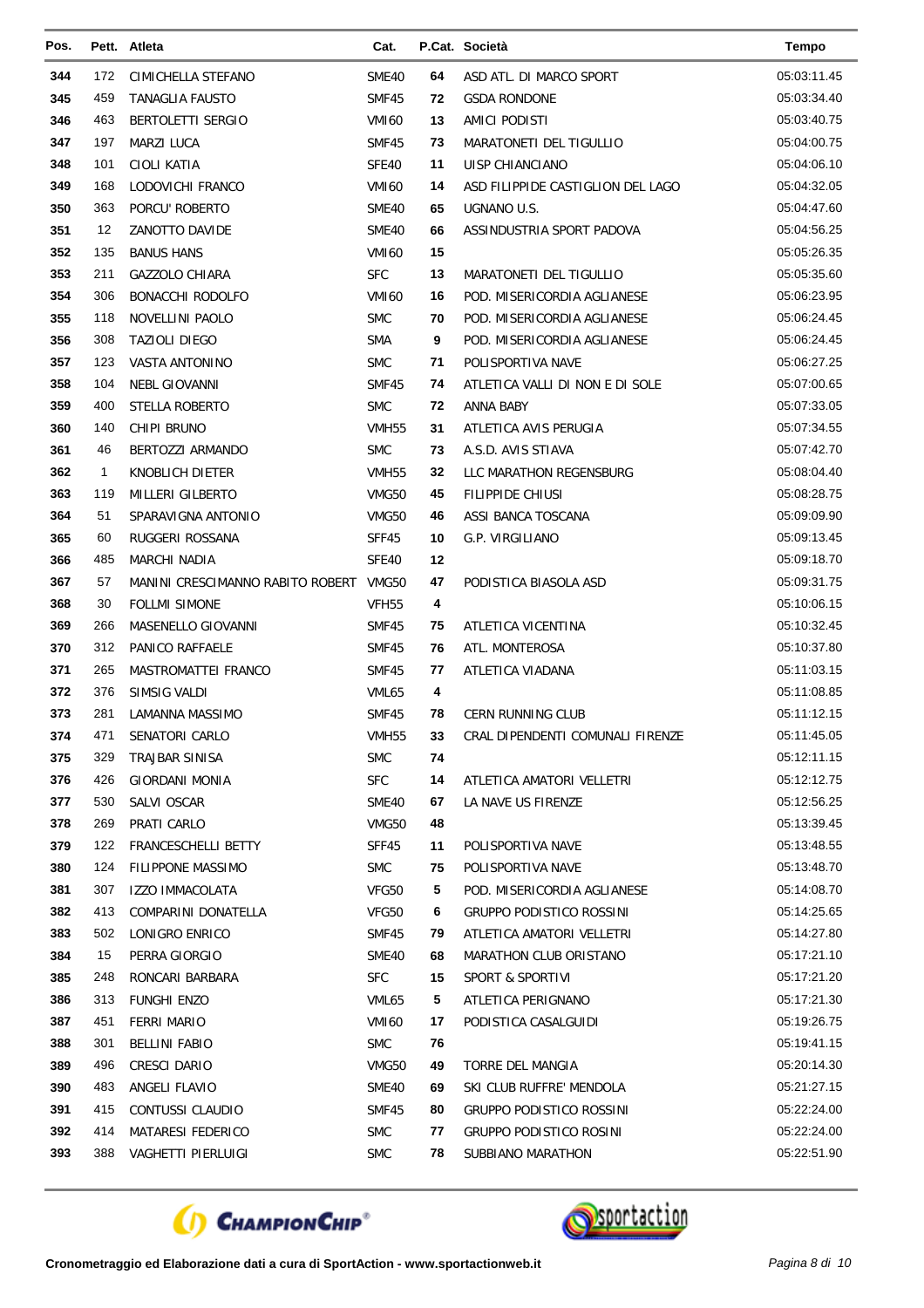| Pos. |              | Pett. Atleta                           | Cat.              |    | P.Cat. Società                    | <b>Tempo</b> |
|------|--------------|----------------------------------------|-------------------|----|-----------------------------------|--------------|
| 344  | 172          | CIMICHELLA STEFANO                     | SME40             | 64 | ASD ATL. DI MARCO SPORT           | 05:03:11.45  |
| 345  | 459          | <b>TANAGLIA FAUSTO</b>                 | SMF45             | 72 | <b>GSDA RONDONE</b>               | 05:03:34.40  |
| 346  | 463          | <b>BERTOLETTI SERGIO</b>               | <b>VMI60</b>      | 13 | AMICI PODISTI                     | 05:03:40.75  |
| 347  | 197          | <b>MARZI LUCA</b>                      | SMF45             | 73 | MARATONETI DEL TIGULLIO           | 05:04:00.75  |
| 348  | 101          | CIOLI KATIA                            | SFE40             | 11 | UISP CHIANCIANO                   | 05:04:06.10  |
| 349  | 168          | LODOVICHI FRANCO                       | <b>VMI60</b>      | 14 | ASD FILIPPIDE CASTIGLION DEL LAGO | 05:04:32.05  |
| 350  | 363          | PORCU' ROBERTO                         | <b>SME40</b>      | 65 | UGNANO U.S.                       | 05:04:47.60  |
| 351  | 12           | ZANOTTO DAVIDE                         | SME40             | 66 | ASSINDUSTRIA SPORT PADOVA         | 05:04:56.25  |
| 352  | 135          | <b>BANUS HANS</b>                      | <b>VMI60</b>      | 15 |                                   | 05:05:26.35  |
| 353  | 211          | <b>GAZZOLO CHIARA</b>                  | <b>SFC</b>        | 13 | MARATONETI DEL TIGULLIO           | 05:05:35.60  |
| 354  | 306          | <b>BONACCHI RODOLFO</b>                | <b>VMI60</b>      | 16 | POD. MISERICORDIA AGLIANESE       | 05:06:23.95  |
| 355  | 118          | NOVELLINI PAOLO                        | <b>SMC</b>        | 70 | POD. MISERICORDIA AGLIANESE       | 05:06:24.45  |
| 356  | 308          | <b>TAZIOLI DIEGO</b>                   | <b>SMA</b>        | 9  | POD. MISERICORDIA AGLIANESE       | 05:06:24.45  |
| 357  | 123          | VASTA ANTONINO                         | <b>SMC</b>        | 71 | POLISPORTIVA NAVE                 | 05:06:27.25  |
| 358  | 104          | NEBL GIOVANNI                          | SMF45             | 74 | ATLETICA VALLI DI NON E DI SOLE   | 05:07:00.65  |
| 359  | 400          | STELLA ROBERTO                         | <b>SMC</b>        | 72 | ANNA BABY                         | 05:07:33.05  |
| 360  | 140          | CHIPI BRUNO                            | VMH55             | 31 | ATLETICA AVIS PERUGIA             | 05:07:34.55  |
| 361  | 46           | BERTOZZI ARMANDO                       | <b>SMC</b>        | 73 | A.S.D. AVIS STIAVA                | 05:07:42.70  |
| 362  | $\mathbf{1}$ | KNOBLICH DIETER                        | VMH <sub>55</sub> | 32 | LLC MARATHON REGENSBURG           | 05:08:04.40  |
| 363  | 119          | MILLERI GILBERTO                       | VMG50             | 45 | FILIPPIDE CHIUSI                  | 05:08:28.75  |
| 364  | 51           | SPARAVIGNA ANTONIO                     | VMG50             | 46 | ASSI BANCA TOSCANA                | 05:09:09.90  |
| 365  | 60           | RUGGERI ROSSANA                        | SFF45             | 10 | G.P. VIRGILIANO                   | 05:09:13.45  |
| 366  | 485          | MARCHI NADIA                           | SFE40             | 12 |                                   | 05:09:18.70  |
| 367  | 57           | MANINI CRESCIMANNO RABITO ROBERT VMG50 |                   | 47 | PODISTICA BIASOLA ASD             | 05:09:31.75  |
| 368  | 30           | <b>FOLLMI SIMONE</b>                   | VFH <sub>55</sub> | 4  |                                   | 05:10:06.15  |
| 369  | 266          | MASENELLO GIOVANNI                     | SMF45             | 75 | ATLETICA VICENTINA                | 05:10:32.45  |
| 370  | 312          | PANICO RAFFAELE                        | SMF45             | 76 | ATL. MONTEROSA                    | 05:10:37.80  |
| 371  | 265          | MASTROMATTEI FRANCO                    | SMF45             | 77 | ATLETICA VIADANA                  | 05:11:03.15  |
| 372  | 376          | SIMSIG VALDI                           | VML65             | 4  |                                   | 05:11:08.85  |
| 373  | 281          | LAMANNA MASSIMO                        | <b>SMF45</b>      | 78 | <b>CERN RUNNING CLUB</b>          | 05:11:12.15  |
| 374  | 471          | SENATORI CARLO                         | VMH <sub>55</sub> | 33 | CRAL DIPENDENTI COMUNALI FIRENZE  | 05:11:45.05  |
| 375  | 329          | TRAJBAR SINISA                         | <b>SMC</b>        | 74 |                                   | 05:12:11.15  |
| 376  | 426          | <b>GIORDANI MONIA</b>                  | <b>SFC</b>        | 14 | ATLETICA AMATORI VELLETRI         | 05:12:12.75  |
| 377  | 530          | SALVI OSCAR                            | SME40             | 67 | LA NAVE US FIRENZE                | 05:12:56.25  |
| 378  | 269          | PRATI CARLO                            | VMG50             | 48 |                                   | 05:13:39.45  |
| 379  | 122          | FRANCESCHELLI BETTY                    | SFF45             | 11 | POLISPORTIVA NAVE                 | 05:13:48.55  |
| 380  | 124          | <b>FILIPPONE MASSIMO</b>               | <b>SMC</b>        | 75 | POLISPORTIVA NAVE                 | 05:13:48.70  |
| 381  | 307          | <b>IZZO IMMACOLATA</b>                 | VFG50             | 5  | POD. MISERICORDIA AGLIANESE       | 05:14:08.70  |
| 382  | 413          | COMPARINI DONATELLA                    | VFG50             | 6  | GRUPPO PODISTICO ROSSINI          | 05:14:25.65  |
| 383  | 502          | LONIGRO ENRICO                         | SMF45             | 79 | ATLETICA AMATORI VELLETRI         | 05:14:27.80  |
| 384  | 15           | PERRA GIORGIO                          | SME40             | 68 | MARATHON CLUB ORISTANO            | 05:17:21.10  |
| 385  | 248          | RONCARI BARBARA                        | <b>SFC</b>        | 15 | SPORT & SPORTIVI                  | 05:17:21.20  |
| 386  | 313          | <b>FUNGHI ENZO</b>                     | VML65             | 5  | ATLETICA PERIGNANO                | 05:17:21.30  |
| 387  | 451          | <b>FERRI MARIO</b>                     | <b>VMI60</b>      | 17 | PODISTICA CASALGUIDI              | 05:19:26.75  |
| 388  | 301          | <b>BELLINI FABIO</b>                   | <b>SMC</b>        | 76 |                                   | 05:19:41.15  |
| 389  | 496          | CRESCI DARIO                           | VMG50             | 49 | TORRE DEL MANGIA                  | 05:20:14.30  |
| 390  | 483          | ANGELI FLAVIO                          | SME40             | 69 | SKI CLUB RUFFRE' MENDOLA          | 05:21:27.15  |
| 391  | 415          | CONTUSSI CLAUDIO                       | SMF45             | 80 | GRUPPO PODISTICO ROSSINI          | 05:22:24.00  |
| 392  | 414          | <b>MATARESI FEDERICO</b>               | <b>SMC</b>        | 77 | <b>GRUPPO PODISTICO ROSINI</b>    | 05:22:24.00  |
| 393  | 388          | VAGHETTI PIERLUIGI                     | <b>SMC</b>        | 78 | SUBBIANO MARATHON                 | 05:22:51.90  |
|      |              |                                        |                   |    |                                   |              |



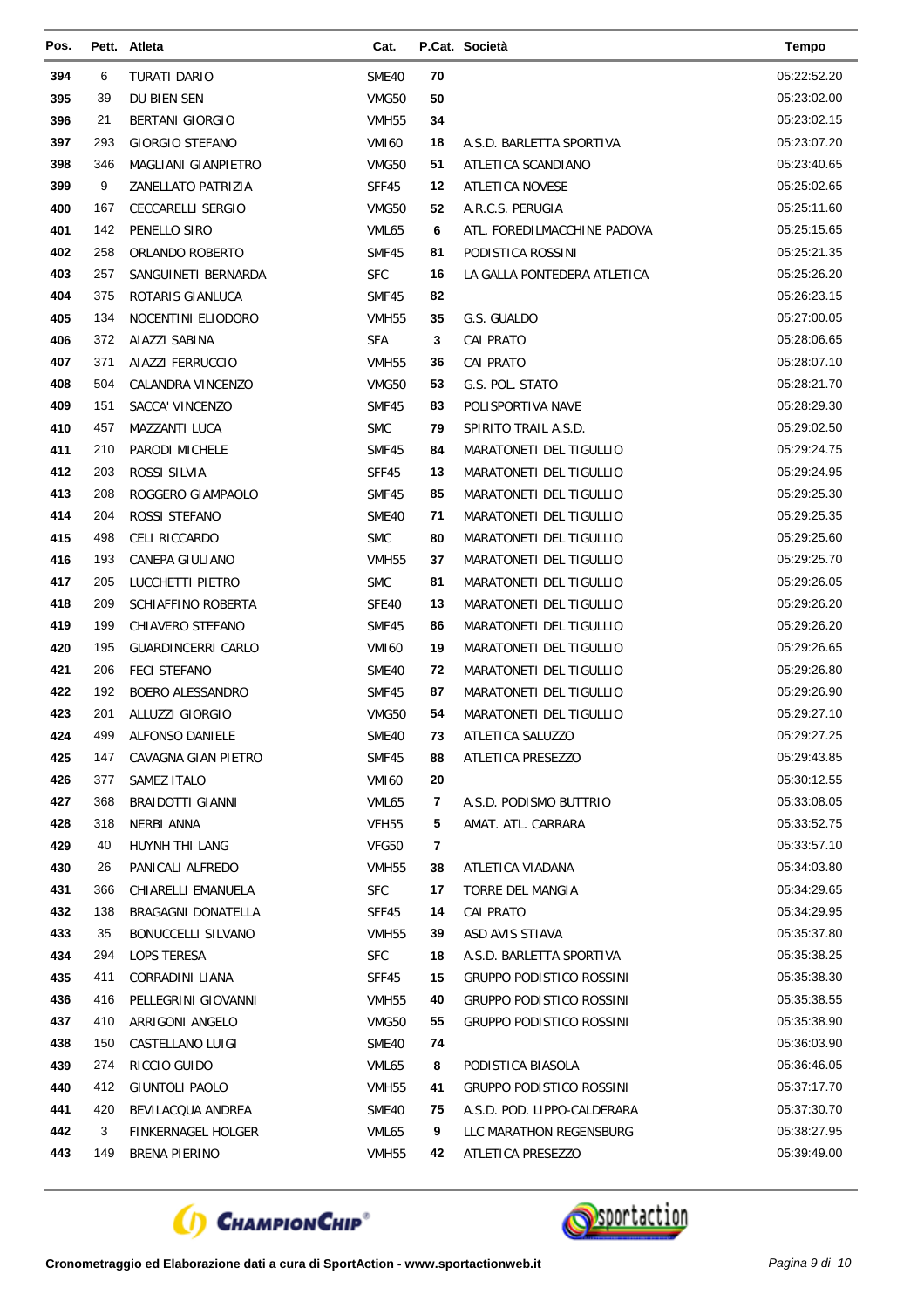| Pos.       |            | Pett. Atleta                             | Cat.                |          | P.Cat. Società                              | <b>Tempo</b>               |
|------------|------------|------------------------------------------|---------------------|----------|---------------------------------------------|----------------------------|
| 394        | 6          | TURATI DARIO                             | SME40               | 70       |                                             | 05:22:52.20                |
| 395        | 39         | DU BIEN SEN                              | VMG50               | 50       |                                             | 05:23:02.00                |
| 396        | 21         | <b>BERTANI GIORGIO</b>                   | <b>VMH55</b>        | 34       |                                             | 05:23:02.15                |
| 397        | 293        | <b>GIORGIO STEFANO</b>                   | <b>VMI60</b>        | 18       | A.S.D. BARLETTA SPORTIVA                    | 05:23:07.20                |
| 398        | 346        | MAGLIANI GIANPIETRO                      | VMG50               | 51       | ATLETICA SCANDIANO                          | 05:23:40.65                |
| 399        | 9          | ZANELLATO PATRIZIA                       | SFF45               | 12       | ATLETICA NOVESE                             | 05:25:02.65                |
| 400        | 167        | <b>CECCARELLI SERGIO</b>                 | VMG50               | 52       | A.R.C.S. PERUGIA                            | 05:25:11.60                |
| 401        | 142        | PENELLO SIRO                             | VML65               | 6        | ATL. FOREDILMACCHINE PADOVA                 | 05:25:15.65                |
| 402        | 258        | ORLANDO ROBERTO                          | SMF45               | 81       | PODISTICA ROSSINI                           | 05:25:21.35                |
| 403        | 257        | SANGUINETI BERNARDA                      | <b>SFC</b>          | 16       | LA GALLA PONTEDERA ATLETICA                 | 05:25:26.20                |
| 404        | 375        | ROTARIS GIANLUCA                         | SMF45               | 82       |                                             | 05:26:23.15                |
| 405        | 134        | NOCENTINI ELIODORO                       | VMH55               | 35       | G.S. GUALDO                                 | 05:27:00.05                |
| 406        | 372        | AIAZZI SABINA                            | <b>SFA</b>          | 3        | <b>CAI PRATO</b>                            | 05:28:06.65                |
| 407        | 371        | AIAZZI FERRUCCIO                         | <b>VMH55</b>        | 36       | <b>CAI PRATO</b>                            | 05:28:07.10                |
| 408        | 504        | CALANDRA VINCENZO                        | VMG50               | 53       | G.S. POL. STATO                             | 05:28:21.70                |
| 409        | 151        | SACCA' VINCENZO                          | SMF45               | 83       | POLISPORTIVA NAVE                           | 05:28:29.30                |
| 410        | 457        | MAZZANTI LUCA                            | <b>SMC</b>          | 79       | SPIRITO TRAIL A.S.D.                        | 05:29:02.50                |
| 411        | 210        | PARODI MICHELE                           | SMF45               | 84       | MARATONETI DEL TIGULLIO                     | 05:29:24.75                |
| 412        | 203        | ROSSI SILVIA                             | SFF45               | 13       | MARATONETI DEL TIGULLIO                     | 05:29:24.95                |
| 413        | 208        | ROGGERO GIAMPAOLO                        | SMF45               | 85       | MARATONETI DEL TIGULLIO                     | 05:29:25.30                |
| 414        | 204        | ROSSI STEFANO                            | SME40               | 71       | MARATONETI DEL TIGULLIO                     | 05:29:25.35                |
| 415        | 498        | CELI RICCARDO                            | <b>SMC</b>          | 80       | MARATONETI DEL TIGULLIO                     | 05:29:25.60                |
| 416        | 193        | CANEPA GIULIANO                          | VMH55               | 37       | MARATONETI DEL TIGULLIO                     | 05:29:25.70                |
| 417        | 205        | LUCCHETTI PIETRO                         | <b>SMC</b>          | 81       | MARATONETI DEL TIGULLIO                     | 05:29:26.05                |
| 418        | 209        | SCHIAFFINO ROBERTA                       | SFE40               | 13       | MARATONETI DEL TIGULLIO                     | 05:29:26.20                |
| 419        | 199        | CHIAVERO STEFANO                         | SMF45               | 86       | MARATONETI DEL TIGULLIO                     | 05:29:26.20                |
| 420        | 195        | <b>GUARDINCERRI CARLO</b>                | <b>VMI60</b>        | 19       | MARATONETI DEL TIGULLIO                     | 05:29:26.65                |
| 421        | 206        | <b>FECI STEFANO</b>                      | SME40               | 72       | MARATONETI DEL TIGULLIO                     | 05:29:26.80                |
| 422        | 192        | <b>BOERO ALESSANDRO</b>                  | SMF45               | 87       | MARATONETI DEL TIGULLIO                     | 05:29:26.90                |
| 423        | 201        | ALLUZZI GIORGIO                          | VMG50               | 54       | MARATONETI DEL TIGULLIO                     | 05:29:27.10                |
| 424        | 499        | ALFONSO DANIELE                          | SME40               | 73       | ATLETICA SALUZZO                            | 05:29:27.25                |
| 425        | 147        | CAVAGNA GIAN PIETRO                      | SMF45               | 88       | ATLETICA PRESEZZO                           | 05:29:43.85                |
| 426        | 377        | SAMEZ ITALO                              | VMI60               | 20       |                                             | 05:30:12.55                |
| 427        | 368        | <b>BRAIDOTTI GIANNI</b>                  | VML65               | 7        | A.S.D. PODISMO BUTTRIO                      | 05:33:08.05                |
| 428        | 318        | NERBI ANNA                               | VFH <sub>55</sub>   | 5        | AMAT. ATL. CARRARA                          | 05:33:52.75                |
| 429        | 40         | HUYNH THI LANG                           | VFG50               | 7        |                                             | 05:33:57.10                |
| 430<br>431 | 26         | PANICALI ALFREDO                         | VMH55               | 38       | ATLETICA VIADANA<br><b>TORRE DEL MANGIA</b> | 05:34:03.80<br>05:34:29.65 |
|            | 366<br>138 | CHIARELLI EMANUELA<br>BRAGAGNI DONATELLA | <b>SFC</b>          | 17       |                                             |                            |
| 432<br>433 | 35         |                                          | SFF45               | 14<br>39 | CAI PRATO<br>ASD AVIS STIAVA                | 05:34:29.95<br>05:35:37.80 |
| 434        | 294        | BONUCCELLI SILVANO<br>LOPS TERESA        | VMH55<br><b>SFC</b> | 18       | A.S.D. BARLETTA SPORTIVA                    | 05:35:38.25                |
| 435        | 411        | CORRADINI LIANA                          | SFF45               | 15       | <b>GRUPPO PODISTICO ROSSINI</b>             | 05:35:38.30                |
| 436        | 416        | PELLEGRINI GIOVANNI                      | VMH55               | 40       | GRUPPO PODISTICO ROSSINI                    | 05:35:38.55                |
| 437        | 410        | ARRIGONI ANGELO                          | VMG50               | 55       | GRUPPO PODISTICO ROSSINI                    | 05:35:38.90                |
| 438        | 150        | CASTELLANO LUIGI                         | SME40               | 74       |                                             | 05:36:03.90                |
| 439        | 274        | RICCIO GUIDO                             | VML65               | 8        | PODISTICA BIASOLA                           | 05:36:46.05                |
| 440        | 412        | GIUNTOLI PAOLO                           | VMH55               | 41       | GRUPPO PODISTICO ROSSINI                    | 05:37:17.70                |
| 441        | 420        | BEVILACQUA ANDREA                        | SME40               | 75       | A.S.D. POD. LIPPO-CALDERARA                 | 05:37:30.70                |
| 442        | 3          | FINKERNAGEL HOLGER                       | VML65               | 9        | LLC MARATHON REGENSBURG                     | 05:38:27.95                |
| 443        | 149        | BRENA PIERINO                            | VMH55               | 42       | ATLETICA PRESEZZO                           | 05:39:49.00                |
|            |            |                                          |                     |          |                                             |                            |